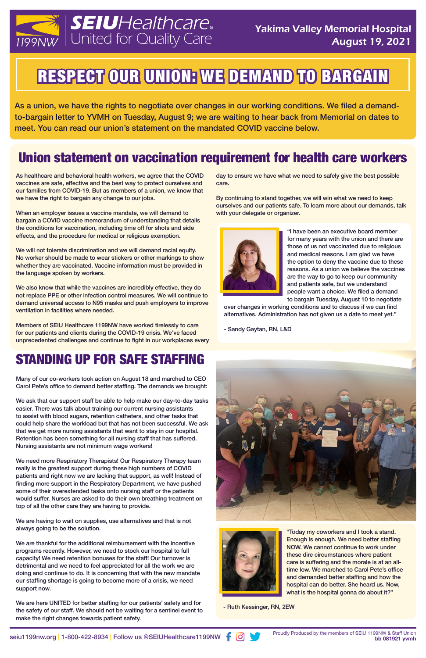

# RESPECT OUR UNION: WE DEMAND TO BARGAIN

As a union, we have the rights to negotiate over changes in our working conditions. We filed a demandto-bargain letter to YVMH on Tuesday, August 9; we are waiting to hear back from Memorial on dates to meet. You can read our union's statement on the mandated COVID vaccine below.

As healthcare and behavioral health workers, we agree that the COVID vaccines are safe, effective and the best way to protect ourselves and our families from COVID-19. But as members of a union, we know that we have the right to bargain any change to our jobs.

When an employer issues a vaccine mandate, we will demand to bargain a COVID vaccine memorandum of understanding that details the conditions for vaccination, including time off for shots and side effects, and the procedure for medical or religious exemption.

We will not tolerate discrimination and we will demand racial equity. No worker should be made to wear stickers or other markings to show whether they are vaccinated. Vaccine information must be provided in the language spoken by workers.

We also know that while the vaccines are incredibly effective, they do not replace PPE or other infection control measures. We will continue to demand universal access to N95 masks and push employers to improve ventilation in facilities where needed.

Members of SEIU Healthcare 1199NW have worked tirelessly to care for our patients and clients during the COVID-19 crisis. We've faced unprecedented challenges and continue to fight in our workplaces every

Many of our co-workers took action on August 18 and marched to CEO Carol Pete's office to demand better staffing. The demands we brought:

We ask that our support staff be able to help make our day-to-day tasks easier. There was talk about training our current nursing assistants to assist with blood sugars, retention catheters, and other tasks that could help share the workload but that has not been successful. We ask that we get more nursing assistants that want to stay in our hospital. Retention has been something for all nursing staff that has suffered. Nursing assistants are not minimum wage workers!

> "Today my coworkers and I took a stand. Enough is enough. We need better staffing NOW. We cannot continue to work under these dire circumstances where patient care is suffering and the morale is at an alltime low. We marched to Carol Pete's office and demanded better staffing and how the hospital can do better. She heard us. Now, what is the hospital gonna do about it?"

We need more Respiratory Therapists! Our Respiratory Therapy team really is the greatest support during these high numbers of COVID patients and right now we are lacking that support, as well! Instead of finding more support in the Respiratory Department, we have pushed some of their overextended tasks onto nursing staff or the patients would suffer. Nurses are asked to do their own breathing treatment on top of all the other care they are having to provide.

We are having to wait on supplies, use alternatives and that is not always going to be the solution.

We are thankful for the additional reimbursement with the incentive programs recently. However, we need to stock our hospital to full capacity! We need retention bonuses for the staff! Our turnover is detrimental and we need to feel appreciated for all the work we are doing and continue to do. It is concerning that with the new mandate our staffing shortage is going to become more of a crisis, we need support now.

We are here UNITED for better staffing for our patients' safety and for the safety of our staff. We should not be waiting for a sentinel event to make the right changes towards patient safety.



day to ensure we have what we need to safely give the best possible care.

By continuing to stand together, we will win what we need to keep ourselves and our patients safe. To learn more about our demands, talk with your delegate or organizer.



"I have been an executive board member for many years with the union and there are those of us not vaccinated due to religious and medical reasons. I am glad we have the option to deny the vaccine due to these reasons. As a union we believe the vaccines are the way to go to keep our community and patients safe, but we understand people want a choice. We filed a demand to bargain Tuesday, August 10 to negotiate

over changes in working conditions and to discuss if we can find alternatives. Administration has not given us a date to meet yet."

- Sandy Gaytan, RN, L&D



#### Union statement on vaccination requirement for health care workers

#### STANDING UP FOR SAFE STAFFING

- Ruth Kessinger, RN, 2EW

Proudly Produced by the members of SEIU 1199NW & Staff Union seiu1199nw.org | 1-800-422-8934 | Follow us @SEIUHealthcare1199NW  $\bullet$  Proudly Produced by the members of SEIU 1199NW & Staff Union